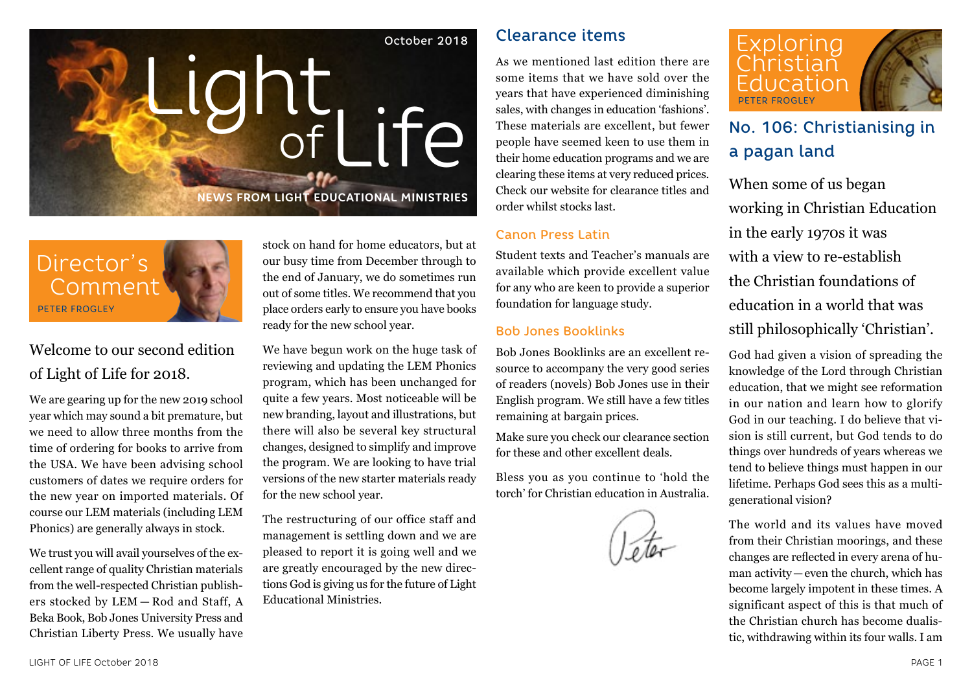



# Welcome to our second edition of Light of Life for 2018.

We are gearing up for the new 2019 school year which may sound a bit premature, but we need to allow three months from the time of ordering for books to arrive from the USA. We have been advising school customers of dates we require orders for the new year on imported materials. Of course our LEM materials (including LEM Phonics) are generally always in stock.

We trust you will avail yourselves of the excellent range of quality Christian materials from the well-respected Christian publishers stocked by LEM — Rod and Staff, A Beka Book, Bob Jones University Press and Christian Liberty Press. We usually have

stock on hand for home educators, but at our busy time from December through to the end of January, we do sometimes run out of some titles. We recommend that you place orders early to ensure you have books ready for the new school year.

We have begun work on the huge task of reviewing and updating the LEM Phonics program, which has been unchanged for quite a few years. Most noticeable will be new branding, layout and illustrations, but there will also be several key structural changes, designed to simplify and improve the program. We are looking to have trial versions of the new starter materials ready for the new school year.

The restructuring of our office staff and management is settling down and we are pleased to report it is going well and we are greatly encouraged by the new directions God is giving us for the future of Light Educational Ministries.

# Clearance items

As we mentioned last edition there are some items that we have sold over the years that have experienced diminishing sales, with changes in education 'fashions'. These materials are excellent, but fewer people have seemed keen to use them in their home education programs and we are clearing these items at very reduced prices. Check our website for clearance titles and order whilst stocks last.

### Canon Press Latin

Student texts and Teacher's manuals are available which provide excellent value for any who are keen to provide a superior foundation for language study.

### Bob Jones Booklinks

Bob Jones Booklinks are an excellent resource to accompany the very good series of readers (novels) Bob Jones use in their English program. We still have a few titles remaining at bargain prices.

Make sure you check our clearance section for these and other excellent deals.

Bless you as you continue to 'hold the torch' for Christian education in Australia.



# No. 106: Christianising in a pagan land

When some of us began working in Christian Education in the early 1970s it was with a view to re-establish the Christian foundations of education in a world that was still philosophically 'Christian'.

God had given a vision of spreading the knowledge of the Lord through Christian education, that we might see reformation in our nation and learn how to glorify God in our teaching. I do believe that vision is still current, but God tends to do things over hundreds of years whereas we tend to believe things must happen in our lifetime. Perhaps God sees this as a multigenerational vision?

The world and its values have moved from their Christian moorings, and these changes are reflected in every arena of human activity—even the church, which has become largely impotent in these times. A significant aspect of this is that much of the Christian church has become dualistic, withdrawing within its four walls. I am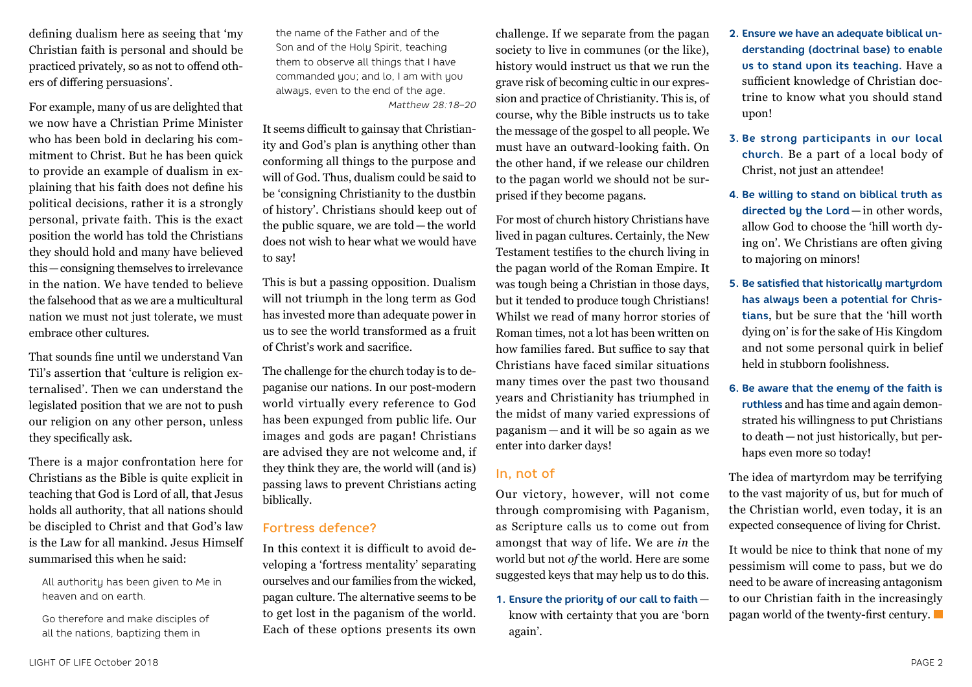defining dualism here as seeing that 'my Christian faith is personal and should be practiced privately, so as not to offend others of differing persuasions'.

For example, many of us are delighted that we now have a Christian Prime Minister who has been bold in declaring his commitment to Christ. But he has been quick to provide an example of dualism in explaining that his faith does not define his political decisions, rather it is a strongly personal, private faith. This is the exact position the world has told the Christians they should hold and many have believed this—consigning themselves to irrelevance in the nation. We have tended to believe the falsehood that as we are a multicultural nation we must not just tolerate, we must embrace other cultures.

That sounds fine until we understand Van Til's assertion that 'culture is religion externalised'. Then we can understand the legislated position that we are not to push our religion on any other person, unless they specifically ask.

There is a major confrontation here for Christians as the Bible is quite explicit in teaching that God is Lord of all, that Jesus holds all authority, that all nations should be discipled to Christ and that God's law is the Law for all mankind. Jesus Himself summarised this when he said:

All authority has been given to Me in heaven and on earth.

Go therefore and make disciples of all the nations, baptizing them in

the name of the Father and of the Son and of the Holy Spirit, teaching them to observe all things that I have commanded you; and lo, I am with you always, even to the end of the age. *Matthew 28:18–20*

It seems difficult to gainsay that Christianity and God's plan is anything other than conforming all things to the purpose and will of God. Thus, dualism could be said to be 'consigning Christianity to the dustbin of history'. Christians should keep out of the public square, we are told—the world does not wish to hear what we would have to say!

This is but a passing opposition. Dualism will not triumph in the long term as God has invested more than adequate power in us to see the world transformed as a fruit of Christ's work and sacrifice.

The challenge for the church today is to depaganise our nations. In our post-modern world virtually every reference to God has been expunged from public life. Our images and gods are pagan! Christians are advised they are not welcome and, if they think they are, the world will (and is) passing laws to prevent Christians acting biblically.

## Fortress defence?

In this context it is difficult to avoid developing a 'fortress mentality' separating ourselves and our families from the wicked, pagan culture. The alternative seems to be to get lost in the paganism of the world. Each of these options presents its own

challenge. If we separate from the pagan society to live in communes (or the like), history would instruct us that we run the grave risk of becoming cultic in our expression and practice of Christianity. This is, of course, why the Bible instructs us to take the message of the gospel to all people. We must have an outward-looking faith. On the other hand, if we release our children to the pagan world we should not be surprised if they become pagans.

For most of church history Christians have lived in pagan cultures. Certainly, the New Testament testifies to the church living in the pagan world of the Roman Empire. It was tough being a Christian in those days, but it tended to produce tough Christians! Whilst we read of many horror stories of Roman times, not a lot has been written on how families fared. But suffice to say that Christians have faced similar situations many times over the past two thousand years and Christianity has triumphed in the midst of many varied expressions of paganism — and it will be so again as we enter into darker days!

## In, not of

Our victory, however, will not come through compromising with Paganism, as Scripture calls us to come out from amongst that way of life. We are *in* the world but not *of* the world. Here are some suggested keys that may help us to do this.

**1. Ensure the priority of our call to faith** know with certainty that you are 'born again'.

- **2. Ensure we have an adequate biblical understanding (doctrinal base) to enable us to stand upon its teaching.** Have a sufficient knowledge of Christian doctrine to know what you should stand upon!
- **3. Be strong participants in our local church.** Be a part of a local body of Christ, not just an attendee!
- **4. Be willing to stand on biblical truth as directed by the Lord**— in other words, allow God to choose the 'hill worth dying on'. We Christians are often giving to majoring on minors!
- **5. Be satisfied that historically martyrdom has always been a potential for Christians**, but be sure that the 'hill worth dying on' is for the sake of His Kingdom and not some personal quirk in belief held in stubborn foolishness.
- **6. Be aware that the enemy of the faith is ruthless** and has time and again demonstrated his willingness to put Christians to death—not just historically, but perhaps even more so today!

The idea of martyrdom may be terrifying to the vast majority of us, but for much of the Christian world, even today, it is an expected consequence of living for Christ.

It would be nice to think that none of my pessimism will come to pass, but we do need to be aware of increasing antagonism to our Christian faith in the increasingly pagan world of the twenty-first century.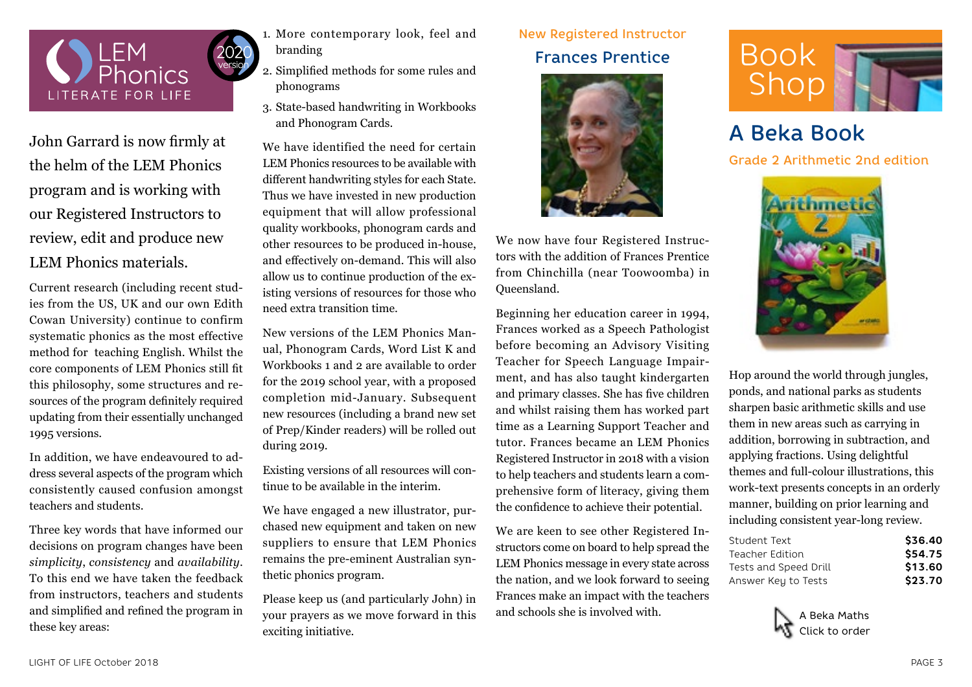

John Garrard is now firmly at the helm of the LEM Phonics program and is working with our Registered Instructors to review, edit and produce new LEM Phonics materials.

Current research (including recent studies from the US, UK and our own Edith Cowan University) continue to confirm systematic phonics as the most effective method for teaching English. Whilst the core components of LEM Phonics still fit this philosophy, some structures and resources of the program definitely required updating from their essentially unchanged 1995 versions.

In addition, we have endeavoured to address several aspects of the program which consistently caused confusion amongst teachers and students.

Three key words that have informed our decisions on program changes have been *simplicity*, *consistency* and *availability*. To this end we have taken the feedback from instructors, teachers and students and simplified and refined the program in these key areas:

- 1. More contemporary look, feel and branding
	- 2. Simplified methods for some rules and phonograms
	- 3. State-based handwriting in Workbooks and Phonogram Cards.

We have identified the need for certain LEM Phonics resources to be available with different handwriting styles for each State. Thus we have invested in new production equipment that will allow professional quality workbooks, phonogram cards and other resources to be produced in-house, and effectively on-demand. This will also allow us to continue production of the existing versions of resources for those who need extra transition time.

New versions of the LEM Phonics Manual, Phonogram Cards, Word List K and Workbooks 1 and 2 are available to order for the 2019 school year, with a proposed completion mid-January. Subsequent new resources (including a brand new set of Prep/Kinder readers) will be rolled out during 2019.

Existing versions of all resources will continue to be available in the interim.

We have engaged a new illustrator, purchased new equipment and taken on new suppliers to ensure that LEM Phonics remains the pre-eminent Australian synthetic phonics program.

Please keep us (and particularly John) in your prayers as we move forward in this exciting initiative.

# New Registered Instructor Frances Prentice



We now have four Registered Instructors with the addition of Frances Prentice from Chinchilla (near Toowoomba) in Queensland.

Beginning her education career in 1994, Frances worked as a Speech Pathologist before becoming an Advisory Visiting Teacher for Speech Language Impairment, and has also taught kindergarten and primary classes. She has five children and whilst raising them has worked part time as a Learning Support Teacher and tutor. Frances became an LEM Phonics Registered Instructor in 2018 with a vision to help teachers and students learn a comprehensive form of literacy, giving them the confidence to achieve their potential.

We are keen to see other Registered Instructors come on board to help spread the LEM Phonics message in every state across the nation, and we look forward to seeing Frances make an impact with the teachers and schools she is involved with.



A Beka Book

Grade 2 Arithmetic 2nd edition



Hop around the world through jungles, ponds, and national parks as students sharpen basic arithmetic skills and use them in new areas such as carrying in addition, borrowing in subtraction, and applying fractions. Using delightful themes and full-colour illustrations, this work-text presents concepts in an orderly manner, building on prior learning and including consistent year-long review.

| Student Text          | \$36.40 |
|-----------------------|---------|
| Teacher Edition       | \$54.75 |
| Tests and Speed Drill | \$13.60 |
| Answer Key to Tests   | \$23.70 |

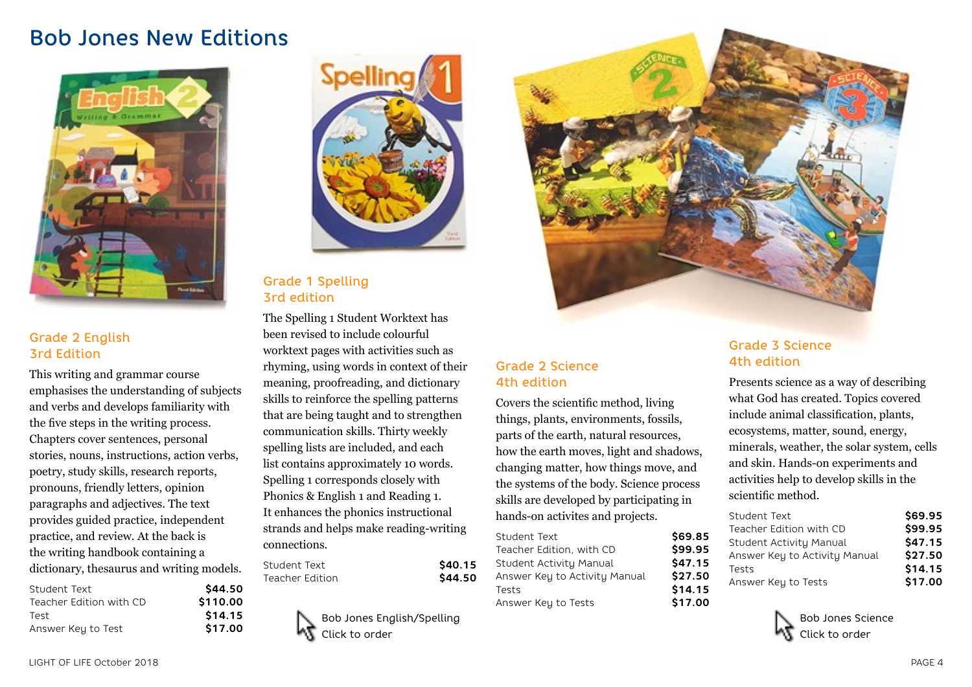# Bob Jones New Editions



## Grade 2 English 3rd Edition

This writing and grammar course emphasises the understanding of subjects and verbs and develops familiarity with the five steps in the writing process. Chapters cover sentences, personal stories, nouns, instructions, action verbs, poetry, study skills, research reports, pronouns, friendly letters, opinion paragraphs and adjectives. The text provides guided practice, independent practice, and review. At the back is the writing handbook containing a dictionary, thesaurus and writing models.

| Student Text            | \$44.50  |
|-------------------------|----------|
| Teacher Edition with CD | \$110.00 |
| Test                    | \$14.15  |
| Answer Key to Test      | \$17.00  |



Grade 1 Spelling 3rd edition

The Spelling 1 Student Worktext has been revised to include colourful worktext pages with activities such as rhyming, using words in context of their meaning, proofreading, and dictionary skills to reinforce the spelling patterns that are being taught and to strengthen communication skills. Thirty weekly spelling lists are included, and each list contains approximately 10 words. Spelling 1 corresponds closely with Phonics & English 1 and Reading 1. It enhances the phonics instructional strands and helps make reading-writing connections.

| Student Text    | \$40.15 |
|-----------------|---------|
| Teacher Edition | \$44.50 |

Bob Jones English/Spelling Click to order



# Grade 2 Science 4th edition

Covers the scientific method, living things, plants, environments, fossils, parts of the earth, natural resources, how the earth moves, light and shadows, changing matter, how things move, and the systems of the body. Science process skills are developed by participating in hands-on activites and projects.

| \$69.85 |
|---------|
| \$99.95 |
| \$47.15 |
| \$27.50 |
| \$14.15 |
| \$17.00 |
|         |

## Grade 3 Science 4th edition

Presents science as a way of describing what God has created. Topics covered include animal classification, plants, ecosystems, matter, sound, energy, minerals, weather, the solar system, cells and skin. Hands-on experiments and activities help to develop skills in the scientific method.

| Student Text                  | \$69.95 |
|-------------------------------|---------|
| Teacher Edition with CD       | \$99.95 |
| Student Activity Manual       | \$47.15 |
| Answer Key to Activity Manual | \$27.50 |
| Tests                         | \$14.15 |
| Answer Key to Tests           | \$17.00 |